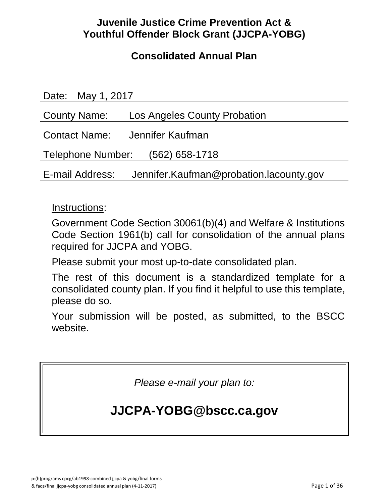## **Juvenile Justice Crime Prevention Act & Youthful Offender Block Grant (JJCPA-YOBG)**

## **Consolidated Annual Plan**

| Date: May 1, 2017                                          |
|------------------------------------------------------------|
| County Name:<br>Los Angeles County Probation               |
| Contact Name: Jennifer Kaufman                             |
| Telephone Number:<br>$(562)$ 658-1718                      |
| Jennifer.Kaufman@probation.lacounty.gov<br>E-mail Address: |

### Instructions:

Government Code Section 30061(b)(4) and Welfare & Institutions Code Section 1961(b) call for consolidation of the annual plans required for JJCPA and YOBG.

Please submit your most up-to-date consolidated plan.

The rest of this document is a standardized template for a consolidated county plan. If you find it helpful to use this template, please do so.

Your submission will be posted, as submitted, to the BSCC website.

*Please e-mail your plan to:*

# **JJCPA-YOBG@bscc.ca.gov**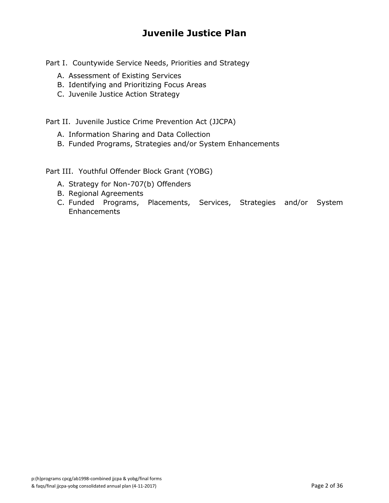## **Juvenile Justice Plan**

Part I. Countywide Service Needs, Priorities and Strategy

- A. Assessment of Existing Services
- B. Identifying and Prioritizing Focus Areas
- C. Juvenile Justice Action Strategy

Part II. Juvenile Justice Crime Prevention Act (JJCPA)

- A. Information Sharing and Data Collection
- B. Funded Programs, Strategies and/or System Enhancements

Part III. Youthful Offender Block Grant (YOBG)

- A. Strategy for Non-707(b) Offenders
- B. Regional Agreements
- C. Funded Programs, Placements, Services, Strategies and/or System **Enhancements**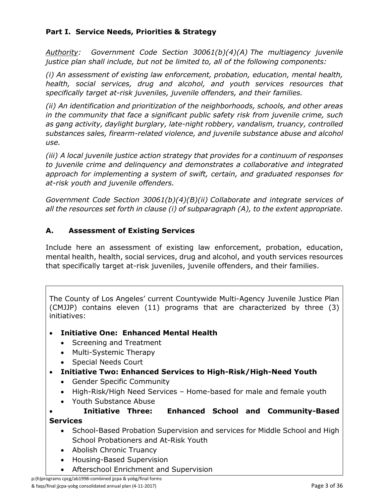### **Part I. Service Needs, Priorities & Strategy**

*Authority: Government Code Section 30061(b)(4)(A) The multiagency juvenile justice plan shall include, but not be limited to, all of the following components:*

*(i) An assessment of existing law enforcement, probation, education, mental health, health, social services, drug and alcohol, and youth services resources that specifically target at-risk juveniles, juvenile offenders, and their families.*

*(ii) An identification and prioritization of the neighborhoods, schools, and other areas in the community that face a significant public safety risk from juvenile crime, such as gang activity, daylight burglary, late-night robbery, vandalism, truancy, controlled substances sales, firearm-related violence, and juvenile substance abuse and alcohol use.*

*(iii) A local juvenile justice action strategy that provides for a continuum of responses to juvenile crime and delinquency and demonstrates a collaborative and integrated approach for implementing a system of swift, certain, and graduated responses for at-risk youth and juvenile offenders.*

*Government Code Section 30061(b)(4)(B)(ii) Collaborate and integrate services of all the resources set forth in clause (i) of subparagraph (A), to the extent appropriate.*

### **A. Assessment of Existing Services**

Include here an assessment of existing law enforcement, probation, education, mental health, health, social services, drug and alcohol, and youth services resources that specifically target at-risk juveniles, juvenile offenders, and their families.

The County of Los Angeles' current Countywide Multi-Agency Juvenile Justice Plan (CMJJP) contains eleven (11) programs that are characterized by three (3) initiatives:

- **Initiative One: Enhanced Mental Health**
	- Screening and Treatment
	- Multi-Systemic Therapy
	- Special Needs Court
- **Initiative Two: Enhanced Services to High-Risk/High-Need Youth**
	- Gender Specific Community
	- High-Risk/High Need Services Home-based for male and female youth
	- Youth Substance Abuse

 **Initiative Three: Enhanced School and Community-Based Services**

- School-Based Probation Supervision and services for Middle School and High School Probationers and At-Risk Youth
- Abolish Chronic Truancy
- Housing-Based Supervision
- Afterschool Enrichment and Supervision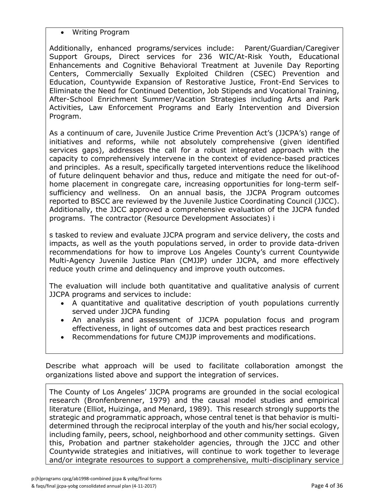Writing Program

Additionally, enhanced programs/services include: Parent/Guardian/Caregiver Support Groups, Direct services for 236 WIC/At-Risk Youth, Educational Enhancements and Cognitive Behavioral Treatment at Juvenile Day Reporting Centers, Commercially Sexually Exploited Children (CSEC) Prevention and Education, Countywide Expansion of Restorative Justice, Front-End Services to Eliminate the Need for Continued Detention, Job Stipends and Vocational Training, After-School Enrichment Summer/Vacation Strategies including Arts and Park Activities, Law Enforcement Programs and Early Intervention and Diversion Program.

As a continuum of care, Juvenile Justice Crime Prevention Act's (JJCPA's) range of initiatives and reforms, while not absolutely comprehensive (given identified services gaps), addresses the call for a robust integrated approach with the capacity to comprehensively intervene in the context of evidence-based practices and principles. As a result, specifically targeted interventions reduce the likelihood of future delinquent behavior and thus, reduce and mitigate the need for out-ofhome placement in congregate care, increasing opportunities for long-term selfsufficiency and wellness. On an annual basis, the JJCPA Program outcomes reported to BSCC are reviewed by the Juvenile Justice Coordinating Council (JJCC). Additionally, the JJCC approved a comprehensive evaluation of the JJCPA funded programs. The contractor (Resource Development Associates) i

s tasked to review and evaluate JJCPA program and service delivery, the costs and impacts, as well as the youth populations served, in order to provide data-driven recommendations for how to improve Los Angeles County's current Countywide Multi-Agency Juvenile Justice Plan (CMJJP) under JJCPA, and more effectively reduce youth crime and delinquency and improve youth outcomes.

The evaluation will include both quantitative and qualitative analysis of current JJCPA programs and services to include:

- A quantitative and qualitative description of youth populations currently served under JJCPA funding
- An analysis and assessment of JJCPA population focus and program effectiveness, in light of outcomes data and best practices research
- Recommendations for future CMJJP improvements and modifications.

Describe what approach will be used to facilitate collaboration amongst the organizations listed above and support the integration of services.

The County of Los Angeles' JJCPA programs are grounded in the social ecological research (Bronfenbrenner, 1979) and the causal model studies and empirical literature (Elliot, Huizinga, and Menard, 1989). This research strongly supports the strategic and programmatic approach, whose central tenet is that behavior is multidetermined through the reciprocal interplay of the youth and his/her social ecology, including family, peers, school, neighborhood and other community settings. Given this, Probation and partner stakeholder agencies, through the JJCC and other Countywide strategies and initiatives, will continue to work together to leverage and/or integrate resources to support a comprehensive, multi-disciplinary service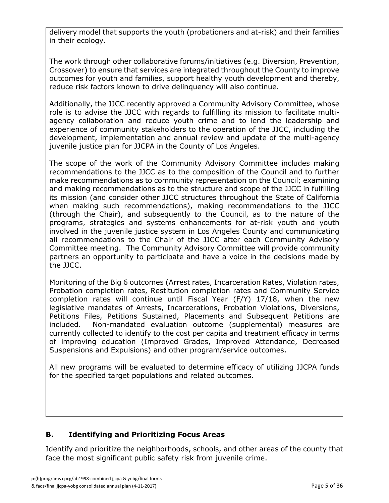delivery model that supports the youth (probationers and at-risk) and their families in their ecology.

The work through other collaborative forums/initiatives (e.g. Diversion, Prevention, Crossover) to ensure that services are integrated throughout the County to improve outcomes for youth and families, support healthy youth development and thereby, reduce risk factors known to drive delinquency will also continue.

Additionally, the JJCC recently approved a Community Advisory Committee, whose role is to advise the JJCC with regards to fulfilling its mission to facilitate multiagency collaboration and reduce youth crime and to lend the leadership and experience of community stakeholders to the operation of the JJCC, including the development, implementation and annual review and update of the multi-agency juvenile justice plan for JJCPA in the County of Los Angeles.

The scope of the work of the Community Advisory Committee includes making recommendations to the JJCC as to the composition of the Council and to further make recommendations as to community representation on the Council; examining and making recommendations as to the structure and scope of the JJCC in fulfilling its mission (and consider other JJCC structures throughout the State of California when making such recommendations), making recommendations to the JJCC (through the Chair), and subsequently to the Council, as to the nature of the programs, strategies and systems enhancements for at-risk youth and youth involved in the juvenile justice system in Los Angeles County and communicating all recommendations to the Chair of the JJCC after each Community Advisory Committee meeting. The Community Advisory Committee will provide community partners an opportunity to participate and have a voice in the decisions made by the JJCC.

Monitoring of the Big 6 outcomes (Arrest rates, Incarceration Rates, Violation rates, Probation completion rates, Restitution completion rates and Community Service completion rates will continue until Fiscal Year (F/Y) 17/18, when the new legislative mandates of Arrests, Incarcerations, Probation Violations, Diversions, Petitions Files, Petitions Sustained, Placements and Subsequent Petitions are included. Non-mandated evaluation outcome (supplemental) measures are currently collected to identify to the cost per capita and treatment efficacy in terms of improving education (Improved Grades, Improved Attendance, Decreased Suspensions and Expulsions) and other program/service outcomes.

All new programs will be evaluated to determine efficacy of utilizing JJCPA funds for the specified target populations and related outcomes.

### **B. Identifying and Prioritizing Focus Areas**

Identify and prioritize the neighborhoods, schools, and other areas of the county that face the most significant public safety risk from juvenile crime.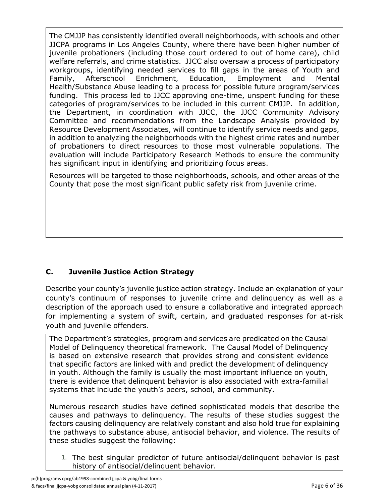The CMJJP has consistently identified overall neighborhoods, with schools and other JJCPA programs in Los Angeles County, where there have been higher number of juvenile probationers (including those court ordered to out of home care), child welfare referrals, and crime statistics. JJCC also oversaw a process of participatory workgroups, identifying needed services to fill gaps in the areas of Youth and Family, Afterschool Enrichment, Education, Employment and Mental Health/Substance Abuse leading to a process for possible future program/services funding. This process led to JJCC approving one-time, unspent funding for these categories of program/services to be included in this current CMJJP. In addition, the Department, in coordination with JJCC, the JJCC Community Advisory Committee and recommendations from the Landscape Analysis provided by Resource Development Associates, will continue to identify service needs and gaps, in addition to analyzing the neighborhoods with the highest crime rates and number of probationers to direct resources to those most vulnerable populations. The evaluation will include Participatory Research Methods to ensure the community has significant input in identifying and prioritizing focus areas.

Resources will be targeted to those neighborhoods, schools, and other areas of the County that pose the most significant public safety risk from juvenile crime.

### **C. Juvenile Justice Action Strategy**

Describe your county's juvenile justice action strategy. Include an explanation of your county's continuum of responses to juvenile crime and delinquency as well as a description of the approach used to ensure a collaborative and integrated approach for implementing a system of swift, certain, and graduated responses for at-risk youth and juvenile offenders.

The Department's strategies, program and services are predicated on the Causal Model of Delinquency theoretical framework. The Causal Model of Delinquency is based on extensive research that provides strong and consistent evidence that specific factors are linked with and predict the development of delinquency in youth. Although the family is usually the most important influence on youth, there is evidence that delinquent behavior is also associated with extra-familial systems that include the youth's peers, school, and community.

Numerous research studies have defined sophisticated models that describe the causes and pathways to delinquency. The results of these studies suggest the factors causing delinquency are relatively constant and also hold true for explaining the pathways to substance abuse, antisocial behavior, and violence. The results of these studies suggest the following:

1. The best singular predictor of future antisocial/delinquent behavior is past history of antisocial/delinquent behavior.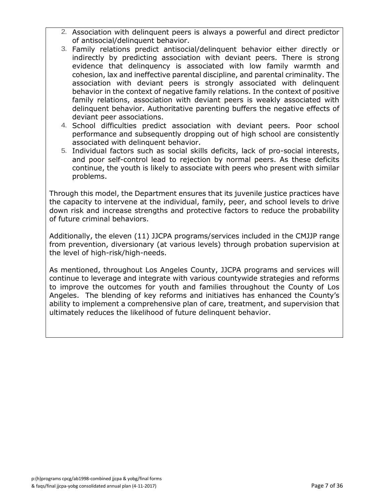- 2. Association with delinquent peers is always a powerful and direct predictor of antisocial/delinquent behavior.
- 3. Family relations predict antisocial/delinquent behavior either directly or indirectly by predicting association with deviant peers. There is strong evidence that delinquency is associated with low family warmth and cohesion, lax and ineffective parental discipline, and parental criminality. The association with deviant peers is strongly associated with delinquent behavior in the context of negative family relations. In the context of positive family relations, association with deviant peers is weakly associated with delinquent behavior. Authoritative parenting buffers the negative effects of deviant peer associations.
- 4. School difficulties predict association with deviant peers. Poor school performance and subsequently dropping out of high school are consistently associated with delinquent behavior.
- 5. Individual factors such as social skills deficits, lack of pro-social interests, and poor self-control lead to rejection by normal peers. As these deficits continue, the youth is likely to associate with peers who present with similar problems.

Through this model, the Department ensures that its juvenile justice practices have the capacity to intervene at the individual, family, peer, and school levels to drive down risk and increase strengths and protective factors to reduce the probability of future criminal behaviors.

Additionally, the eleven (11) JJCPA programs/services included in the CMJJP range from prevention, diversionary (at various levels) through probation supervision at the level of high-risk/high-needs.

As mentioned, throughout Los Angeles County, JJCPA programs and services will continue to leverage and integrate with various countywide strategies and reforms to improve the outcomes for youth and families throughout the County of Los Angeles. The blending of key reforms and initiatives has enhanced the County's ability to implement a comprehensive plan of care, treatment, and supervision that ultimately reduces the likelihood of future delinquent behavior.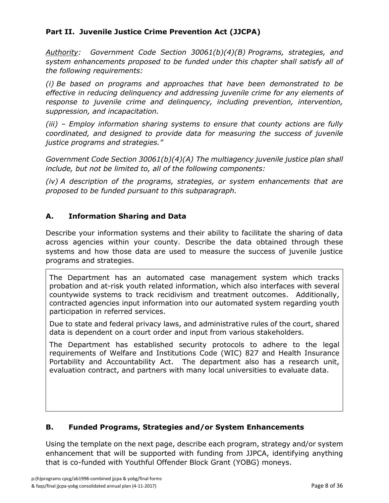### **Part II. Juvenile Justice Crime Prevention Act (JJCPA)**

*Authority: Government Code Section 30061(b)(4)(B) Programs, strategies, and system enhancements proposed to be funded under this chapter shall satisfy all of the following requirements:*

*(i) Be based on programs and approaches that have been demonstrated to be effective in reducing delinquency and addressing juvenile crime for any elements of response to juvenile crime and delinquency, including prevention, intervention, suppression, and incapacitation.*

*(iii) – Employ information sharing systems to ensure that county actions are fully coordinated, and designed to provide data for measuring the success of juvenile justice programs and strategies."*

*Government Code Section 30061(b)(4)(A) The multiagency juvenile justice plan shall include, but not be limited to, all of the following components:*

*(iv) A description of the programs, strategies, or system enhancements that are proposed to be funded pursuant to this subparagraph.*

### **A. Information Sharing and Data**

Describe your information systems and their ability to facilitate the sharing of data across agencies within your county. Describe the data obtained through these systems and how those data are used to measure the success of juvenile justice programs and strategies.

The Department has an automated case management system which tracks probation and at-risk youth related information, which also interfaces with several countywide systems to track recidivism and treatment outcomes. Additionally, contracted agencies input information into our automated system regarding youth participation in referred services.

Due to state and federal privacy laws, and administrative rules of the court, shared data is dependent on a court order and input from various stakeholders.

The Department has established security protocols to adhere to the legal requirements of Welfare and Institutions Code (WIC) 827 and Health Insurance Portability and Accountability Act. The department also has a research unit, evaluation contract, and partners with many local universities to evaluate data.

#### **B. Funded Programs, Strategies and/or System Enhancements**

Using the template on the next page, describe each program, strategy and/or system enhancement that will be supported with funding from JJPCA, identifying anything that is co-funded with Youthful Offender Block Grant (YOBG) moneys.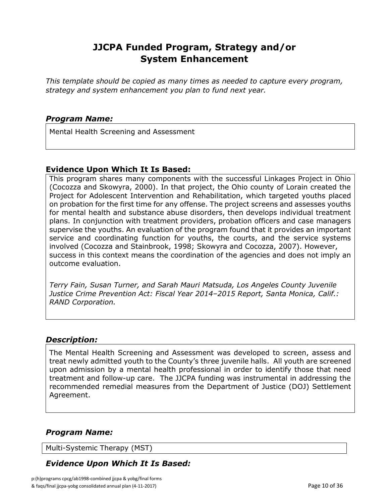## **JJCPA Funded Program, Strategy and/or System Enhancement**

*This template should be copied as many times as needed to capture every program, strategy and system enhancement you plan to fund next year.*

#### *Program Name:*

Mental Health Screening and Assessment

#### **Evidence Upon Which It Is Based:**

This program shares many components with the successful Linkages Project in Ohio (Cocozza and Skowyra, 2000). In that project, the Ohio county of Lorain created the Project for Adolescent Intervention and Rehabilitation, which targeted youths placed on probation for the first time for any offense. The project screens and assesses youths for mental health and substance abuse disorders, then develops individual treatment plans. In conjunction with treatment providers, probation officers and case managers supervise the youths. An evaluation of the program found that it provides an important service and coordinating function for youths, the courts, and the service systems involved (Cocozza and Stainbrook, 1998; Skowyra and Cocozza, 2007). However, success in this context means the coordination of the agencies and does not imply an outcome evaluation.

*Terry Fain, Susan Turner, and Sarah Mauri Matsuda, Los Angeles County Juvenile Justice Crime Prevention Act: Fiscal Year 2014–2015 Report, Santa Monica, Calif.: RAND Corporation.*

#### *Description:*

The Mental Health Screening and Assessment was developed to screen, assess and treat newly admitted youth to the County's three juvenile halls. All youth are screened upon admission by a mental health professional in order to identify those that need treatment and follow-up care. The JJCPA funding was instrumental in addressing the recommended remedial measures from the Department of Justice (DOJ) Settlement Agreement.

### *Program Name:*

Multi-Systemic Therapy (MST)

### *Evidence Upon Which It Is Based:*

p:(h)programs cpcg/ab1998-combined jjcpa & yobg/final forms & faqs/final jjcpa-yobg consolidated annual plan (4-11-2017) Page 10 of 36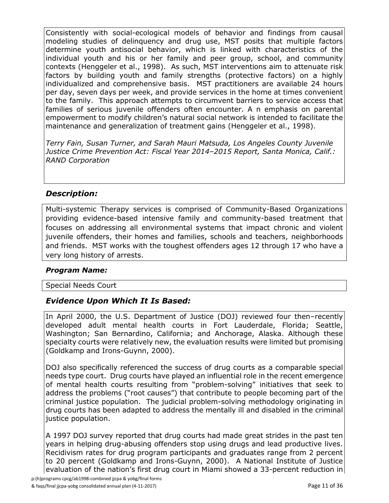Consistently with social-ecological models of behavior and findings from causal modeling studies of delinquency and drug use, MST posits that multiple factors determine youth antisocial behavior, which is linked with characteristics of the individual youth and his or her family and peer group, school, and community contexts (Henggeler et al., 1998). As such, MST interventions aim to attenuate risk factors by building youth and family strengths (protective factors) on a highly individualized and comprehensive basis. MST practitioners are available 24 hours per day, seven days per week, and provide services in the home at times convenient to the family. This approach attempts to circumvent barriers to service access that families of serious juvenile offenders often encounter. A n emphasis on parental empowerment to modify children's natural social network is intended to facilitate the maintenance and generalization of treatment gains (Henggeler et al., 1998).

*Terry Fain, Susan Turner, and Sarah Mauri Matsuda, Los Angeles County Juvenile Justice Crime Prevention Act: Fiscal Year 2014–2015 Report, Santa Monica, Calif.: RAND Corporation*

### *Description:*

Multi-systemic Therapy services is comprised of Community-Based Organizations providing evidence-based intensive family and community-based treatment that focuses on addressing all environmental systems that impact chronic and violent juvenile offenders, their homes and families, schools and teachers, neighborhoods and friends. MST works with the toughest offenders ages 12 through 17 who have a very long history of arrests.

### *Program Name:*

Special Needs Court

### *Evidence Upon Which It Is Based:*

In April 2000, the U.S. Department of Justice (DOJ) reviewed four then–recently developed adult mental health courts in Fort Lauderdale, Florida; Seattle, Washington; San Bernardino, California; and Anchorage, Alaska. Although these specialty courts were relatively new, the evaluation results were limited but promising (Goldkamp and Irons-Guynn, 2000).

DOJ also specifically referenced the success of drug courts as a comparable special needs type court. Drug courts have played an influential role in the recent emergence of mental health courts resulting from "problem-solving" initiatives that seek to address the problems ("root causes") that contribute to people becoming part of the criminal justice population. The judicial problem-solving methodology originating in drug courts has been adapted to address the mentally ill and disabled in the criminal justice population.

A 1997 DOJ survey reported that drug courts had made great strides in the past ten years in helping drug-abusing offenders stop using drugs and lead productive lives. Recidivism rates for drug program participants and graduates range from 2 percent to 20 percent (Goldkamp and Irons-Guynn, 2000). A National Institute of Justice evaluation of the nation's first drug court in Miami showed a 33-percent reduction in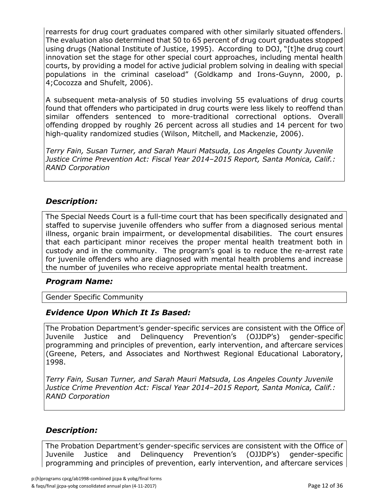rearrests for drug court graduates compared with other similarly situated offenders. The evaluation also determined that 50 to 65 percent of drug court graduates stopped using drugs (National Institute of Justice, 1995). According to DOJ, "[t]he drug court innovation set the stage for other special court approaches, including mental health courts, by providing a model for active judicial problem solving in dealing with special populations in the criminal caseload" (Goldkamp and Irons-Guynn, 2000, p. 4;Cocozza and Shufelt, 2006).

A subsequent meta-analysis of 50 studies involving 55 evaluations of drug courts found that offenders who participated in drug courts were less likely to reoffend than similar offenders sentenced to more-traditional correctional options. Overall offending dropped by roughly 26 percent across all studies and 14 percent for two high-quality randomized studies (Wilson, Mitchell, and Mackenzie, 2006).

*Terry Fain, Susan Turner, and Sarah Mauri Matsuda, Los Angeles County Juvenile Justice Crime Prevention Act: Fiscal Year 2014–2015 Report, Santa Monica, Calif.: RAND Corporation*

### *Description:*

The Special Needs Court is a full-time court that has been specifically designated and staffed to supervise juvenile offenders who suffer from a diagnosed serious mental illness, organic brain impairment, or developmental disabilities. The court ensures that each participant minor receives the proper mental health treatment both in custody and in the community. The program's goal is to reduce the re-arrest rate for juvenile offenders who are diagnosed with mental health problems and increase the number of juveniles who receive appropriate mental health treatment.

#### *Program Name:*

Gender Specific Community

#### *Evidence Upon Which It Is Based:*

The Probation Department's gender-specific services are consistent with the Office of Juvenile Justice and Delinquency Prevention's (OJJDP's) gender-specific programming and principles of prevention, early intervention, and aftercare services (Greene, Peters, and Associates and Northwest Regional Educational Laboratory, 1998.

*Terry Fain, Susan Turner, and Sarah Mauri Matsuda, Los Angeles County Juvenile Justice Crime Prevention Act: Fiscal Year 2014–2015 Report, Santa Monica, Calif.: RAND Corporation*

### *Description:*

The Probation Department's gender-specific services are consistent with the Office of Juvenile Justice and Delinquency Prevention's (OJJDP's) gender-specific programming and principles of prevention, early intervention, and aftercare services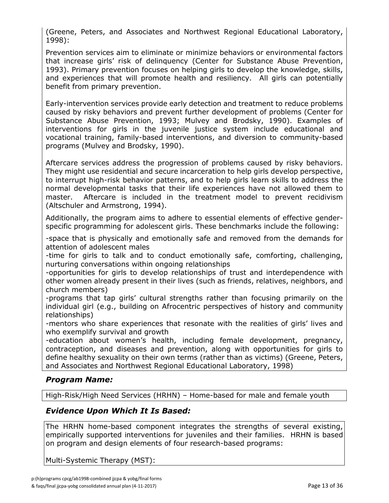(Greene, Peters, and Associates and Northwest Regional Educational Laboratory, 1998):

Prevention services aim to eliminate or minimize behaviors or environmental factors that increase girls' risk of delinquency (Center for Substance Abuse Prevention, 1993). Primary prevention focuses on helping girls to develop the knowledge, skills, and experiences that will promote health and resiliency. All girls can potentially benefit from primary prevention.

Early-intervention services provide early detection and treatment to reduce problems caused by risky behaviors and prevent further development of problems (Center for Substance Abuse Prevention, 1993; Mulvey and Brodsky, 1990). Examples of interventions for girls in the juvenile justice system include educational and vocational training, family-based interventions, and diversion to community-based programs (Mulvey and Brodsky, 1990).

Aftercare services address the progression of problems caused by risky behaviors. They might use residential and secure incarceration to help girls develop perspective, to interrupt high-risk behavior patterns, and to help girls learn skills to address the normal developmental tasks that their life experiences have not allowed them to master. Aftercare is included in the treatment model to prevent recidivism (Altschuler and Armstrong, 1994).

Additionally, the program aims to adhere to essential elements of effective genderspecific programming for adolescent girls. These benchmarks include the following:

-space that is physically and emotionally safe and removed from the demands for attention of adolescent males

-time for girls to talk and to conduct emotionally safe, comforting, challenging, nurturing conversations within ongoing relationships

-opportunities for girls to develop relationships of trust and interdependence with other women already present in their lives (such as friends, relatives, neighbors, and church members)

-programs that tap girls' cultural strengths rather than focusing primarily on the individual girl (e.g., building on Afrocentric perspectives of history and community relationships)

-mentors who share experiences that resonate with the realities of girls' lives and who exemplify survival and growth

-education about women's health, including female development, pregnancy, contraception, and diseases and prevention, along with opportunities for girls to define healthy sexuality on their own terms (rather than as victims) (Greene, Peters, and Associates and Northwest Regional Educational Laboratory, 1998)

### *Program Name:*

High-Risk/High Need Services (HRHN) – Home-based for male and female youth

### *Evidence Upon Which It Is Based:*

The HRHN home-based component integrates the strengths of several existing, empirically supported interventions for juveniles and their families. HRHN is based on program and design elements of four research-based programs:

Multi-Systemic Therapy (MST):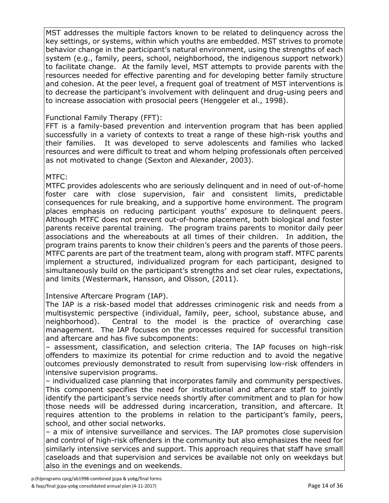MST addresses the multiple factors known to be related to delinquency across the key settings, or systems, within which youths are embedded. MST strives to promote behavior change in the participant's natural environment, using the strengths of each system (e.g., family, peers, school, neighborhood, the indigenous support network) to facilitate change. At the family level, MST attempts to provide parents with the resources needed for effective parenting and for developing better family structure and cohesion. At the peer level, a frequent goal of treatment of MST interventions is to decrease the participant's involvement with delinquent and drug-using peers and to increase association with prosocial peers (Henggeler et al., 1998).

### Functional Family Therapy (FFT):

FFT is a family-based prevention and intervention program that has been applied successfully in a variety of contexts to treat a range of these high-risk youths and their families. It was developed to serve adolescents and families who lacked resources and were difficult to treat and whom helping professionals often perceived as not motivated to change (Sexton and Alexander, 2003).

#### MTFC:

MTFC provides adolescents who are seriously delinquent and in need of out-of-home foster care with close supervision, fair and consistent limits, predictable consequences for rule breaking, and a supportive home environment. The program places emphasis on reducing participant youths' exposure to delinquent peers. Although MTFC does not prevent out-of-home placement, both biological and foster parents receive parental training. The program trains parents to monitor daily peer associations and the whereabouts at all times of their children. In addition, the program trains parents to know their children's peers and the parents of those peers. MTFC parents are part of the treatment team, along with program staff. MTFC parents implement a structured, individualized program for each participant, designed to simultaneously build on the participant's strengths and set clear rules, expectations, and limits (Westermark, Hansson, and Olsson, (2011).

#### Intensive Aftercare Program (IAP).

The IAP is a risk-based model that addresses criminogenic risk and needs from a multisystemic perspective (individual, family, peer, school, substance abuse, and neighborhood). Central to the model is the practice of overarching case management. The IAP focuses on the processes required for successful transition and aftercare and has five subcomponents:

– assessment, classification, and selection criteria. The IAP focuses on high-risk offenders to maximize its potential for crime reduction and to avoid the negative outcomes previously demonstrated to result from supervising low-risk offenders in intensive supervision programs.

– individualized case planning that incorporates family and community perspectives. This component specifies the need for institutional and aftercare staff to jointly identify the participant's service needs shortly after commitment and to plan for how those needs will be addressed during incarceration, transition, and aftercare. It requires attention to the problems in relation to the participant's family, peers, school, and other social networks.

– a mix of intensive surveillance and services. The IAP promotes close supervision and control of high-risk offenders in the community but also emphasizes the need for similarly intensive services and support. This approach requires that staff have small caseloads and that supervision and services be available not only on weekdays but also in the evenings and on weekends.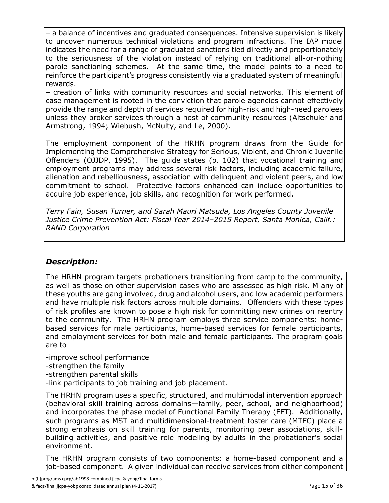– a balance of incentives and graduated consequences. Intensive supervision is likely to uncover numerous technical violations and program infractions. The IAP model indicates the need for a range of graduated sanctions tied directly and proportionately to the seriousness of the violation instead of relying on traditional all-or-nothing parole sanctioning schemes. At the same time, the model points to a need to reinforce the participant's progress consistently via a graduated system of meaningful rewards.

– creation of links with community resources and social networks. This element of case management is rooted in the conviction that parole agencies cannot effectively provide the range and depth of services required for high-risk and high-need parolees unless they broker services through a host of community resources (Altschuler and Armstrong, 1994; Wiebush, McNulty, and Le, 2000).

The employment component of the HRHN program draws from the Guide for Implementing the Comprehensive Strategy for Serious, Violent, and Chronic Juvenile Offenders (OJJDP, 1995). The guide states (p. 102) that vocational training and employment programs may address several risk factors, including academic failure, alienation and rebelliousness, association with delinquent and violent peers, and low commitment to school. Protective factors enhanced can include opportunities to acquire job experience, job skills, and recognition for work performed.

*Terry Fain, Susan Turner, and Sarah Mauri Matsuda, Los Angeles County Juvenile Justice Crime Prevention Act: Fiscal Year 2014–2015 Report, Santa Monica, Calif.: RAND Corporation*

### *Description:*

The HRHN program targets probationers transitioning from camp to the community, as well as those on other supervision cases who are assessed as high risk. M any of these youths are gang involved, drug and alcohol users, and low academic performers and have multiple risk factors across multiple domains. Offenders with these types of risk profiles are known to pose a high risk for committing new crimes on reentry to the community. The HRHN program employs three service components: homebased services for male participants, home-based services for female participants, and employment services for both male and female participants. The program goals are to

-improve school performance

-strengthen the family

-strengthen parental skills

-link participants to job training and job placement.

The HRHN program uses a specific, structured, and multimodal intervention approach (behavioral skill training across domains—family, peer, school, and neighborhood) and incorporates the phase model of Functional Family Therapy (FFT). Additionally, such programs as MST and multidimensional-treatment foster care (MTFC) place a strong emphasis on skill training for parents, monitoring peer associations, skillbuilding activities, and positive role modeling by adults in the probationer's social environment.

The HRHN program consists of two components: a home-based component and a job-based component. A given individual can receive services from either component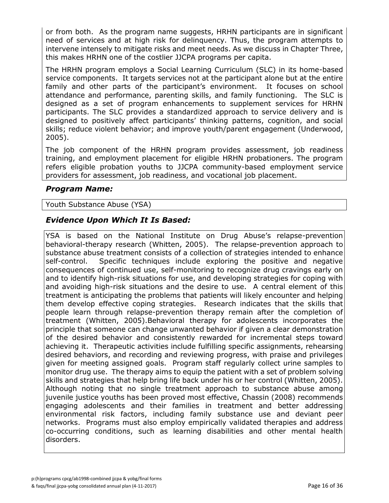or from both. As the program name suggests, HRHN participants are in significant need of services and at high risk for delinquency. Thus, the program attempts to intervene intensely to mitigate risks and meet needs. As we discuss in Chapter Three, this makes HRHN one of the costlier JJCPA programs per capita.

The HRHN program employs a Social Learning Curriculum (SLC) in its home-based service components. It targets services not at the participant alone but at the entire family and other parts of the participant's environment. It focuses on school attendance and performance, parenting skills, and family functioning. The SLC is designed as a set of program enhancements to supplement services for HRHN participants. The SLC provides a standardized approach to service delivery and is designed to positively affect participants' thinking patterns, cognition, and social skills; reduce violent behavior; and improve youth/parent engagement (Underwood, 2005).

The job component of the HRHN program provides assessment, job readiness training, and employment placement for eligible HRHN probationers. The program refers eligible probation youths to JJCPA community-based employment service providers for assessment, job readiness, and vocational job placement.

### *Program Name:*

#### Youth Substance Abuse (YSA)

### *Evidence Upon Which It Is Based:*

YSA is based on the National Institute on Drug Abuse's relapse-prevention behavioral-therapy research (Whitten, 2005). The relapse-prevention approach to substance abuse treatment consists of a collection of strategies intended to enhance self-control. Specific techniques include exploring the positive and negative consequences of continued use, self-monitoring to recognize drug cravings early on and to identify high-risk situations for use, and developing strategies for coping with and avoiding high-risk situations and the desire to use. A central element of this treatment is anticipating the problems that patients will likely encounter and helping them develop effective coping strategies. Research indicates that the skills that people learn through relapse-prevention therapy remain after the completion of treatment (Whitten, 2005).Behavioral therapy for adolescents incorporates the principle that someone can change unwanted behavior if given a clear demonstration of the desired behavior and consistently rewarded for incremental steps toward achieving it. Therapeutic activities include fulfilling specific assignments, rehearsing desired behaviors, and recording and reviewing progress, with praise and privileges given for meeting assigned goals. Program staff regularly collect urine samples to monitor drug use. The therapy aims to equip the patient with a set of problem solving skills and strategies that help bring life back under his or her control (Whitten, 2005). Although noting that no single treatment approach to substance abuse among juvenile justice youths has been proved most effective, Chassin (2008) recommends engaging adolescents and their families in treatment and better addressing environmental risk factors, including family substance use and deviant peer networks. Programs must also employ empirically validated therapies and address co-occurring conditions, such as learning disabilities and other mental health disorders.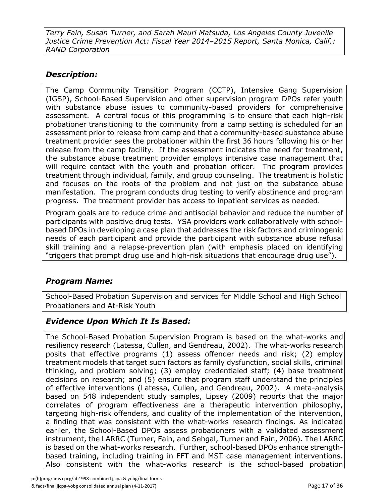*Terry Fain, Susan Turner, and Sarah Mauri Matsuda, Los Angeles County Juvenile Justice Crime Prevention Act: Fiscal Year 2014–2015 Report, Santa Monica, Calif.: RAND Corporation*

### *Description:*

The Camp Community Transition Program (CCTP), Intensive Gang Supervision (IGSP), School-Based Supervision and other supervision program DPOs refer youth with substance abuse issues to community-based providers for comprehensive assessment. A central focus of this programming is to ensure that each high-risk probationer transitioning to the community from a camp setting is scheduled for an assessment prior to release from camp and that a community-based substance abuse treatment provider sees the probationer within the first 36 hours following his or her release from the camp facility. If the assessment indicates the need for treatment, the substance abuse treatment provider employs intensive case management that will require contact with the youth and probation officer. The program provides treatment through individual, family, and group counseling. The treatment is holistic and focuses on the roots of the problem and not just on the substance abuse manifestation. The program conducts drug testing to verify abstinence and program progress. The treatment provider has access to inpatient services as needed.

Program goals are to reduce crime and antisocial behavior and reduce the number of participants with positive drug tests. YSA providers work collaboratively with schoolbased DPOs in developing a case plan that addresses the risk factors and criminogenic needs of each participant and provide the participant with substance abuse refusal skill training and a relapse-prevention plan (with emphasis placed on identifying "triggers that prompt drug use and high-risk situations that encourage drug use").

### *Program Name:*

School-Based Probation Supervision and services for Middle School and High School Probationers and At-Risk Youth

### *Evidence Upon Which It Is Based:*

The School-Based Probation Supervision Program is based on the what-works and resiliency research (Latessa, Cullen, and Gendreau, 2002). The what-works research posits that effective programs (1) assess offender needs and risk; (2) employ treatment models that target such factors as family dysfunction, social skills, criminal thinking, and problem solving; (3) employ credentialed staff; (4) base treatment decisions on research; and (5) ensure that program staff understand the principles of effective interventions (Latessa, Cullen, and Gendreau, 2002). A meta-analysis based on 548 independent study samples, Lipsey (2009) reports that the major correlates of program effectiveness are a therapeutic intervention philosophy, targeting high-risk offenders, and quality of the implementation of the intervention, a finding that was consistent with the what-works research findings. As indicated earlier, the School-Based DPOs assess probationers with a validated assessment instrument, the LARRC (Turner, Fain, and Sehgal, Turner and Fain, 2006). The LARRC is based on the what-works research. Further, school-based DPOs enhance strengthbased training, including training in FFT and MST case management interventions. Also consistent with the what-works research is the school-based probation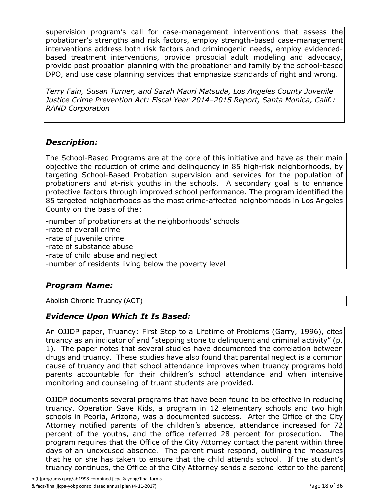supervision program's call for case-management interventions that assess the probationer's strengths and risk factors, employ strength-based case-management interventions address both risk factors and criminogenic needs, employ evidencedbased treatment interventions, provide prosocial adult modeling and advocacy, provide post probation planning with the probationer and family by the school-based DPO, and use case planning services that emphasize standards of right and wrong.

*Terry Fain, Susan Turner, and Sarah Mauri Matsuda, Los Angeles County Juvenile Justice Crime Prevention Act: Fiscal Year 2014–2015 Report, Santa Monica, Calif.: RAND Corporation*

### *Description:*

The School-Based Programs are at the core of this initiative and have as their main objective the reduction of crime and delinquency in 85 high-risk neighborhoods, by targeting School-Based Probation supervision and services for the population of probationers and at-risk youths in the schools. A secondary goal is to enhance protective factors through improved school performance. The program identified the 85 targeted neighborhoods as the most crime-affected neighborhoods in Los Angeles County on the basis of the:

-number of probationers at the neighborhoods' schools -rate of overall crime -rate of juvenile crime -rate of substance abuse -rate of child abuse and neglect -number of residents living below the poverty level

### *Program Name:*

Abolish Chronic Truancy (ACT)

### *Evidence Upon Which It Is Based:*

An OJJDP paper, Truancy: First Step to a Lifetime of Problems (Garry, 1996), cites truancy as an indicator of and "stepping stone to delinquent and criminal activity" (p. 1). The paper notes that several studies have documented the correlation between drugs and truancy. These studies have also found that parental neglect is a common cause of truancy and that school attendance improves when truancy programs hold parents accountable for their children's school attendance and when intensive monitoring and counseling of truant students are provided.

OJJDP documents several programs that have been found to be effective in reducing truancy. Operation Save Kids, a program in 12 elementary schools and two high schools in Peoria, Arizona, was a documented success. After the Office of the City Attorney notified parents of the children's absence, attendance increased for 72 percent of the youths, and the office referred 28 percent for prosecution. The program requires that the Office of the City Attorney contact the parent within three days of an unexcused absence. The parent must respond, outlining the measures that he or she has taken to ensure that the child attends school. If the student's truancy continues, the Office of the City Attorney sends a second letter to the parent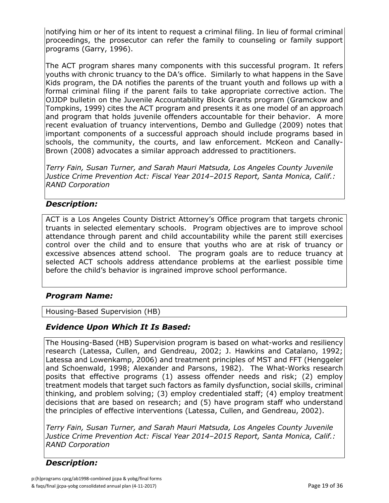notifying him or her of its intent to request a criminal filing. In lieu of formal criminal proceedings, the prosecutor can refer the family to counseling or family support programs (Garry, 1996).

The ACT program shares many components with this successful program. It refers youths with chronic truancy to the DA's office. Similarly to what happens in the Save Kids program, the DA notifies the parents of the truant youth and follows up with a formal criminal filing if the parent fails to take appropriate corrective action. The OJJDP bulletin on the Juvenile Accountability Block Grants program (Gramckow and Tompkins, 1999) cites the ACT program and presents it as one model of an approach and program that holds juvenile offenders accountable for their behavior. A more recent evaluation of truancy interventions, Dembo and Gulledge (2009) notes that important components of a successful approach should include programs based in schools, the community, the courts, and law enforcement. McKeon and Canally-Brown (2008) advocates a similar approach addressed to practitioners.

*Terry Fain, Susan Turner, and Sarah Mauri Matsuda, Los Angeles County Juvenile Justice Crime Prevention Act: Fiscal Year 2014–2015 Report, Santa Monica, Calif.: RAND Corporation*

### *Description:*

ACT is a Los Angeles County District Attorney's Office program that targets chronic truants in selected elementary schools. Program objectives are to improve school attendance through parent and child accountability while the parent still exercises control over the child and to ensure that youths who are at risk of truancy or excessive absences attend school. The program goals are to reduce truancy at selected ACT schools address attendance problems at the earliest possible time before the child's behavior is ingrained improve school performance.

### *Program Name:*

Housing-Based Supervision (HB)

### *Evidence Upon Which It Is Based:*

The Housing-Based (HB) Supervision program is based on what-works and resiliency research (Latessa, Cullen, and Gendreau, 2002; J. Hawkins and Catalano, 1992; Latessa and Lowenkamp, 2006) and treatment principles of MST and FFT (Henggeler and Schoenwald, 1998; Alexander and Parsons, 1982). The What-Works research posits that effective programs (1) assess offender needs and risk; (2) employ treatment models that target such factors as family dysfunction, social skills, criminal thinking, and problem solving; (3) employ credentialed staff; (4) employ treatment decisions that are based on research; and (5) have program staff who understand the principles of effective interventions (Latessa, Cullen, and Gendreau, 2002).

*Terry Fain, Susan Turner, and Sarah Mauri Matsuda, Los Angeles County Juvenile Justice Crime Prevention Act: Fiscal Year 2014–2015 Report, Santa Monica, Calif.: RAND Corporation*

### *Description:*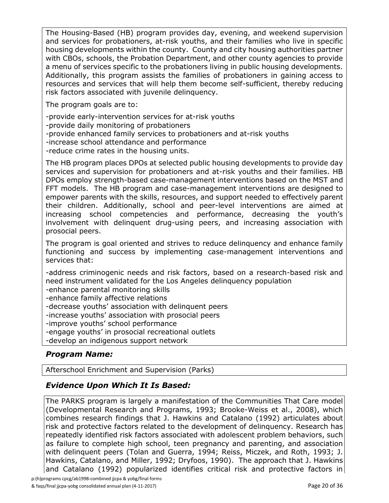The Housing-Based (HB) program provides day, evening, and weekend supervision and services for probationers, at-risk youths, and their families who live in specific housing developments within the county. County and city housing authorities partner with CBOs, schools, the Probation Department, and other county agencies to provide a menu of services specific to the probationers living in public housing developments. Additionally, this program assists the families of probationers in gaining access to resources and services that will help them become self-sufficient, thereby reducing risk factors associated with juvenile delinquency.

The program goals are to:

-provide early-intervention services for at-risk youths -provide daily monitoring of probationers -provide enhanced family services to probationers and at-risk youths -increase school attendance and performance -reduce crime rates in the housing units.

The HB program places DPOs at selected public housing developments to provide day services and supervision for probationers and at-risk youths and their families. HB DPOs employ strength-based case-management interventions based on the MST and FFT models. The HB program and case-management interventions are designed to empower parents with the skills, resources, and support needed to effectively parent their children. Additionally, school and peer-level interventions are aimed at increasing school competencies and performance, decreasing the youth's involvement with delinquent drug-using peers, and increasing association with prosocial peers.

The program is goal oriented and strives to reduce delinquency and enhance family functioning and success by implementing case-management interventions and services that:

-address criminogenic needs and risk factors, based on a research-based risk and need instrument validated for the Los Angeles delinquency population

-enhance parental monitoring skills

-enhance family affective relations

-decrease youths' association with delinquent peers

-increase youths' association with prosocial peers

-improve youths' school performance

-engage youths' in prosocial recreational outlets

-develop an indigenous support network

### *Program Name:*

Afterschool Enrichment and Supervision (Parks)

### *Evidence Upon Which It Is Based:*

The PARKS program is largely a manifestation of the Communities That Care model (Developmental Research and Programs, 1993; Brooke-Weiss et al., 2008), which combines research findings that J. Hawkins and Catalano (1992) articulates about risk and protective factors related to the development of delinquency. Research has repeatedly identified risk factors associated with adolescent problem behaviors, such as failure to complete high school, teen pregnancy and parenting, and association with delinquent peers (Tolan and Guerra, 1994; Reiss, Miczek, and Roth, 1993; J. Hawkins, Catalano, and Miller, 1992; Dryfoos, 1990). The approach that J. Hawkins and Catalano (1992) popularized identifies critical risk and protective factors in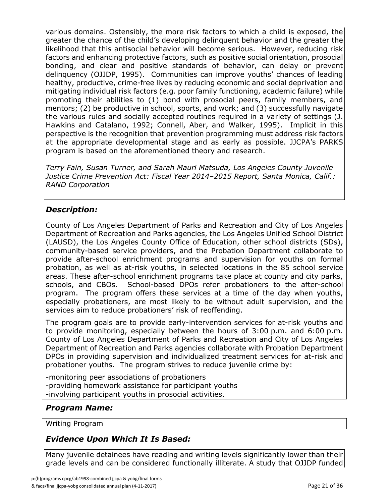various domains. Ostensibly, the more risk factors to which a child is exposed, the greater the chance of the child's developing delinquent behavior and the greater the likelihood that this antisocial behavior will become serious. However, reducing risk factors and enhancing protective factors, such as positive social orientation, prosocial bonding, and clear and positive standards of behavior, can delay or prevent delinquency (OJJDP, 1995). Communities can improve youths' chances of leading healthy, productive, crime-free lives by reducing economic and social deprivation and mitigating individual risk factors (e.g. poor family functioning, academic failure) while promoting their abilities to (1) bond with prosocial peers, family members, and mentors; (2) be productive in school, sports, and work; and (3) successfully navigate the various rules and socially accepted routines required in a variety of settings (J. Hawkins and Catalano, 1992; Connell, Aber, and Walker, 1995). Implicit in this perspective is the recognition that prevention programming must address risk factors at the appropriate developmental stage and as early as possible. JJCPA's PARKS program is based on the aforementioned theory and research.

*Terry Fain, Susan Turner, and Sarah Mauri Matsuda, Los Angeles County Juvenile Justice Crime Prevention Act: Fiscal Year 2014–2015 Report, Santa Monica, Calif.: RAND Corporation*

### *Description:*

County of Los Angeles Department of Parks and Recreation and City of Los Angeles Department of Recreation and Parks agencies, the Los Angeles Unified School District (LAUSD), the Los Angeles County Office of Education, other school districts (SDs), community-based service providers, and the Probation Department collaborate to provide after-school enrichment programs and supervision for youths on formal probation, as well as at-risk youths, in selected locations in the 85 school service areas. These after-school enrichment programs take place at county and city parks, schools, and CBOs. School-based DPOs refer probationers to the after-school program. The program offers these services at a time of the day when youths, especially probationers, are most likely to be without adult supervision, and the services aim to reduce probationers' risk of reoffending.

The program goals are to provide early-intervention services for at-risk youths and to provide monitoring, especially between the hours of 3:00 p.m. and 6:00 p.m. County of Los Angeles Department of Parks and Recreation and City of Los Angeles Department of Recreation and Parks agencies collaborate with Probation Department DPOs in providing supervision and individualized treatment services for at-risk and probationer youths. The program strives to reduce juvenile crime by:

-monitoring peer associations of probationers -providing homework assistance for participant youths -involving participant youths in prosocial activities.

### *Program Name:*

Writing Program

### *Evidence Upon Which It Is Based:*

Many juvenile detainees have reading and writing levels significantly lower than their grade levels and can be considered functionally illiterate. A study that OJJDP funded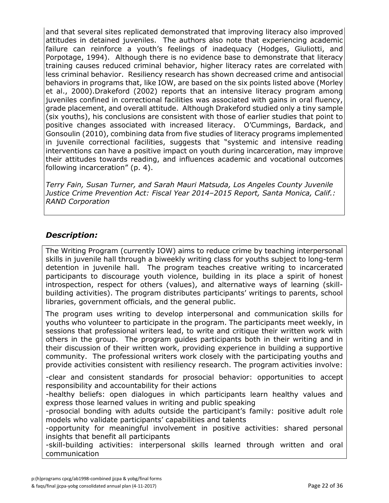and that several sites replicated demonstrated that improving literacy also improved attitudes in detained juveniles. The authors also note that experiencing academic failure can reinforce a youth's feelings of inadequacy (Hodges, Giuliotti, and Porpotage, 1994). Although there is no evidence base to demonstrate that literacy training causes reduced criminal behavior, higher literacy rates are correlated with less criminal behavior. Resiliency research has shown decreased crime and antisocial behaviors in programs that, like IOW, are based on the six points listed above (Morley et al., 2000).Drakeford (2002) reports that an intensive literacy program among juveniles confined in correctional facilities was associated with gains in oral fluency, grade placement, and overall attitude. Although Drakeford studied only a tiny sample (six youths), his conclusions are consistent with those of earlier studies that point to positive changes associated with increased literacy. O'Cummings, Bardack, and Gonsoulin (2010), combining data from five studies of literacy programs implemented in juvenile correctional facilities, suggests that "systemic and intensive reading interventions can have a positive impact on youth during incarceration, may improve their attitudes towards reading, and influences academic and vocational outcomes following incarceration" (p. 4).

*Terry Fain, Susan Turner, and Sarah Mauri Matsuda, Los Angeles County Juvenile Justice Crime Prevention Act: Fiscal Year 2014–2015 Report, Santa Monica, Calif.: RAND Corporation*

### *Description:*

The Writing Program (currently IOW) aims to reduce crime by teaching interpersonal skills in juvenile hall through a biweekly writing class for youths subject to long-term detention in juvenile hall. The program teaches creative writing to incarcerated participants to discourage youth violence, building in its place a spirit of honest introspection, respect for others (values), and alternative ways of learning (skillbuilding activities). The program distributes participants' writings to parents, school libraries, government officials, and the general public.

The program uses writing to develop interpersonal and communication skills for youths who volunteer to participate in the program. The participants meet weekly, in sessions that professional writers lead, to write and critique their written work with others in the group. The program guides participants both in their writing and in their discussion of their written work, providing experience in building a supportive community. The professional writers work closely with the participating youths and provide activities consistent with resiliency research. The program activities involve:

-clear and consistent standards for prosocial behavior: opportunities to accept responsibility and accountability for their actions

-healthy beliefs: open dialogues in which participants learn healthy values and express those learned values in writing and public speaking

-prosocial bonding with adults outside the participant's family: positive adult role models who validate participants' capabilities and talents

-opportunity for meaningful involvement in positive activities: shared personal insights that benefit all participants

-skill-building activities: interpersonal skills learned through written and oral communication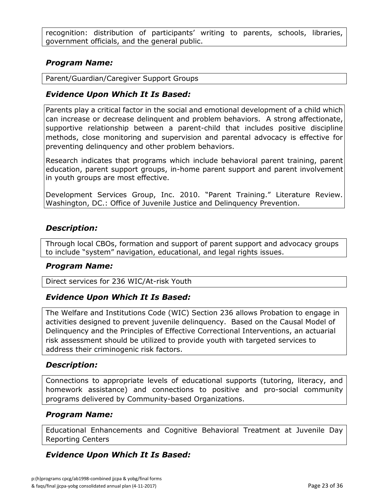recognition: distribution of participants' writing to parents, schools, libraries, government officials, and the general public.

### *Program Name:*

Parent/Guardian/Caregiver Support Groups

### *Evidence Upon Which It Is Based:*

Parents play a critical factor in the social and emotional development of a child which can increase or decrease delinquent and problem behaviors. A strong affectionate, supportive relationship between a parent-child that includes positive discipline methods, close monitoring and supervision and parental advocacy is effective for preventing delinquency and other problem behaviors.

Research indicates that programs which include behavioral parent training, parent education, parent support groups, in-home parent support and parent involvement in youth groups are most effective.

Development Services Group, Inc. 2010. "Parent Training." Literature Review. Washington, DC.: Office of Juvenile Justice and Delinquency Prevention.

### *Description:*

Through local CBOs, formation and support of parent support and advocacy groups to include "system" navigation, educational, and legal rights issues.

#### *Program Name:*

Direct services for 236 WIC/At-risk Youth

### *Evidence Upon Which It Is Based:*

The Welfare and Institutions Code (WIC) Section 236 allows Probation to engage in activities designed to prevent juvenile delinquency. Based on the Causal Model of Delinquency and the Principles of Effective Correctional Interventions, an actuarial risk assessment should be utilized to provide youth with targeted services to address their criminogenic risk factors.

### *Description:*

Connections to appropriate levels of educational supports (tutoring, literacy, and homework assistance) and connections to positive and pro-social community programs delivered by Community-based Organizations.

### *Program Name:*

Educational Enhancements and Cognitive Behavioral Treatment at Juvenile Day Reporting Centers

### *Evidence Upon Which It Is Based:*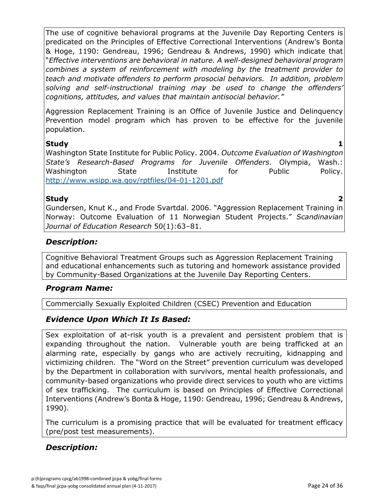The use of cognitive behavioral programs at the Juvenile Day Reporting Centers is predicated on the Principles of Effective Correctional Interventions (Andrew's Bonta & Hoge, 1190: Gendreau, 1996; Gendreau & Andrews, 1990) which indicate that "*Effective interventions are behavioral in nature. A well-designed behavioral program combines a system of reinforcement with modeling by the treatment provider to teach and motivate offenders to perform prosocial behaviors. In addition, problem solving and self-instructional training may be used to change the offenders' cognitions, attitudes, and values that maintain antisocial behavior."* 

Aggression Replacement Training is an Office of Juvenile Justice and Delinquency Prevention model program which has proven to be effective for the juvenile population.

#### **Study 1**

Washington State Institute for Public Policy. 2004. *Outcome Evaluation of Washington State's Research-Based Programs for Juvenile Offenders*. Olympia, Wash.: Washington State Institute for Public Policy. <http://www.wsipp.wa.gov/rptfiles/04-01-1201.pdf>

### **Study 2**

Gundersen, Knut K., and Frode Svartdal. 2006. "Aggression Replacement Training in Norway: Outcome Evaluation of 11 Norwegian Student Projects." *Scandinavian Journal of Education Research* 50(1):63–81.

### *Description:*

Cognitive Behavioral Treatment Groups such as Aggression Replacement Training and educational enhancements such as tutoring and homework assistance provided by Community-Based Organizations at the Juvenile Day Reporting Centers.

### *Program Name:*

Commercially Sexually Exploited Children (CSEC) Prevention and Education

### *Evidence Upon Which It Is Based:*

Sex exploitation of at-risk youth is a prevalent and persistent problem that is expanding throughout the nation. Vulnerable youth are being trafficked at an alarming rate, especially by gangs who are actively recruiting, kidnapping and victimizing children. The "Word on the Street" prevention curriculum was developed by the Department in collaboration with survivors, mental health professionals, and community-based organizations who provide direct services to youth who are victims of sex trafficking. The curriculum is based on Principles of Effective Correctional Interventions (Andrew's Bonta & Hoge, 1190: Gendreau, 1996; Gendreau & Andrews, 1990).

The curriculum is a promising practice that will be evaluated for treatment efficacy (pre/post test measurements).

### *Description:*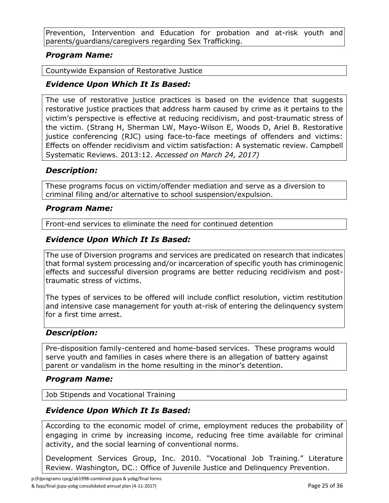Prevention, Intervention and Education for probation and at-risk youth and parents/guardians/caregivers regarding Sex Trafficking.

### *Program Name:*

Countywide Expansion of Restorative Justice

### *Evidence Upon Which It Is Based:*

The use of restorative justice practices is based on the evidence that suggests restorative justice practices that address harm caused by crime as it pertains to the victim's perspective is effective at reducing recidivism, and post-traumatic stress of the victim. (Strang H, Sherman LW, Mayo-Wilson E, Woods D, Ariel B. Restorative justice conferencing (RJC) using face-to-face meetings of offenders and victims: Effects on offender recidivism and victim satisfaction: A systematic review. Campbell Systematic Reviews. 2013:12. *Accessed on March 24, 2017)*

### *Description:*

These programs focus on victim/offender mediation and serve as a diversion to criminal filing and/or alternative to school suspension/expulsion.

#### *Program Name:*

Front-end services to eliminate the need for continued detention

### *Evidence Upon Which It Is Based:*

The use of Diversion programs and services are predicated on research that indicates that formal system processing and/or incarceration of specific youth has criminogenic effects and successful diversion programs are better reducing recidivism and posttraumatic stress of victims.

The types of services to be offered will include conflict resolution, victim restitution and intensive case management for youth at-risk of entering the delinquency system for a first time arrest.

### *Description:*

Pre-disposition family-centered and home-based services. These programs would serve youth and families in cases where there is an allegation of battery against parent or vandalism in the home resulting in the minor's detention.

#### *Program Name:*

Job Stipends and Vocational Training

### *Evidence Upon Which It Is Based:*

According to the economic model of crime, employment reduces the probability of engaging in crime by increasing income, reducing free time available for criminal activity, and the social learning of conventional norms.

Development Services Group, Inc. 2010. "Vocational Job Training." Literature Review. Washington, DC.: Office of Juvenile Justice and Delinquency Prevention.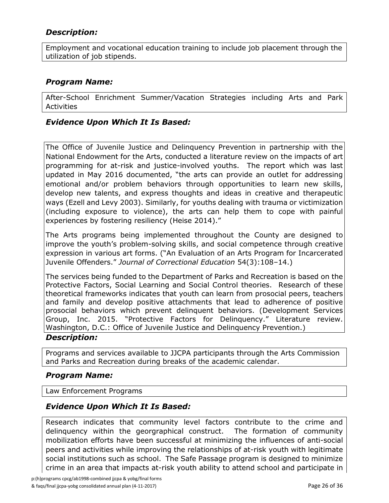### *Description:*

Employment and vocational education training to include job placement through the utilization of job stipends.

### *Program Name:*

After-School Enrichment Summer/Vacation Strategies including Arts and Park **Activities** 

#### *Evidence Upon Which It Is Based:*

The Office of Juvenile Justice and Delinquency Prevention in partnership with the National Endowment for the Arts, conducted a literature review on the impacts of art programming for at-risk and justice-involved youths. The report which was last updated in May 2016 documented, "the arts can provide an outlet for addressing emotional and/or problem behaviors through opportunities to learn new skills, develop new talents, and express thoughts and ideas in creative and therapeutic ways (Ezell and Levy 2003). Similarly, for youths dealing with trauma or victimization (including exposure to violence), the arts can help them to cope with painful experiences by fostering resiliency (Heise 2014)."

The Arts programs being implemented throughout the County are designed to improve the youth's problem-solving skills, and social competence through creative expression in various art forms. ("An Evaluation of an Arts Program for Incarcerated Juvenile Offenders." *Journal of Correctional Education* 54(3):108–14.)

The services being funded to the Department of Parks and Recreation is based on the Protective Factors, Social Learning and Social Control theories. Research of these theoretical frameworks indicates that youth can learn from prosocial peers, teachers and family and develop positive attachments that lead to adherence of positive prosocial behaviors which prevent delinquent behaviors. (Development Services Group, Inc. 2015. "Protective Factors for Delinquency." Literature review. Washington, D.C.: Office of Juvenile Justice and Delinquency Prevention.)

#### *Description:*

Programs and services available to JJCPA participants through the Arts Commission and Parks and Recreation during breaks of the academic calendar.

#### *Program Name:*

Law Enforcement Programs

### *Evidence Upon Which It Is Based:*

Research indicates that community level factors contribute to the crime and delinquency within the georgraphical construct. The formation of community mobilization efforts have been successful at minimizing the influences of anti-social peers and activities while improving the relationships of at-risk youth with legitimate social institutions such as school. The Safe Passage program is designed to minimize crime in an area that impacts at-risk youth ability to attend school and participate in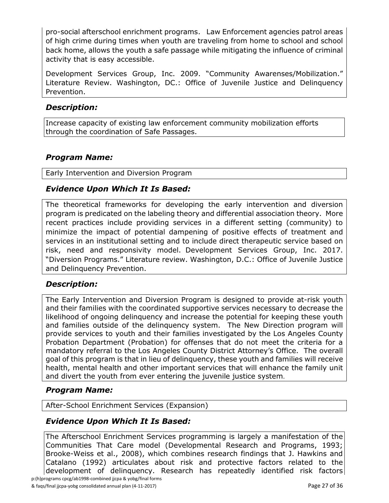pro-social afterschool enrichment programs. Law Enforcement agencies patrol areas of high crime during times when youth are traveling from home to school and school back home, allows the youth a safe passage while mitigating the influence of criminal activity that is easy accessible.

Development Services Group, Inc. 2009. "Community Awarenses/Mobilization." Literature Review. Washington, DC.: Office of Juvenile Justice and Delinquency Prevention.

### *Description:*

Increase capacity of existing law enforcement community mobilization efforts through the coordination of Safe Passages.

### *Program Name:*

Early Intervention and Diversion Program

### *Evidence Upon Which It Is Based:*

The theoretical frameworks for developing the early intervention and diversion program is predicated on the labeling theory and differential association theory. More recent practices include providing services in a different setting (community) to minimize the impact of potential dampening of positive effects of treatment and services in an institutional setting and to include direct therapeutic service based on risk, need and responsivity model. Development Services Group, Inc. 2017. "Diversion Programs." Literature review. Washington, D.C.: Office of Juvenile Justice and Delinquency Prevention.

### *Description:*

The Early Intervention and Diversion Program is designed to provide at-risk youth and their families with the coordinated supportive services necessary to decrease the likelihood of ongoing delinquency and increase the potential for keeping these youth and families outside of the delinquency system. The New Direction program will provide services to youth and their families investigated by the Los Angeles County Probation Department (Probation) for offenses that do not meet the criteria for a mandatory referral to the Los Angeles County District Attorney's Office. The overall goal of this program is that in lieu of delinquency, these youth and families will receive health, mental health and other important services that will enhance the family unit and divert the youth from ever entering the juvenile justice system.

### *Program Name:*

After-School Enrichment Services (Expansion)

### *Evidence Upon Which It Is Based:*

p:(h)programs cpcg/ab1998-combined jjcpa & yobg/final forms The Afterschool Enrichment Services programming is largely a manifestation of the Communities That Care model (Developmental Research and Programs, 1993; Brooke-Weiss et al., 2008), which combines research findings that J. Hawkins and Catalano (1992) articulates about risk and protective factors related to the development of delinquency. Research has repeatedly identified risk factors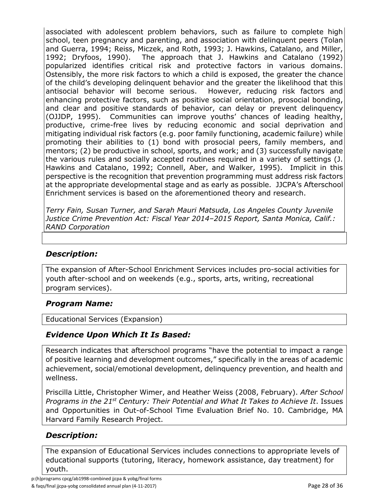associated with adolescent problem behaviors, such as failure to complete high school, teen pregnancy and parenting, and association with delinquent peers (Tolan and Guerra, 1994; Reiss, Miczek, and Roth, 1993; J. Hawkins, Catalano, and Miller, 1992; Dryfoos, 1990). The approach that J. Hawkins and Catalano (1992) popularized identifies critical risk and protective factors in various domains. Ostensibly, the more risk factors to which a child is exposed, the greater the chance of the child's developing delinquent behavior and the greater the likelihood that this antisocial behavior will become serious. However, reducing risk factors and enhancing protective factors, such as positive social orientation, prosocial bonding, and clear and positive standards of behavior, can delay or prevent delinquency (OJJDP, 1995). Communities can improve youths' chances of leading healthy, productive, crime-free lives by reducing economic and social deprivation and mitigating individual risk factors (e.g. poor family functioning, academic failure) while promoting their abilities to (1) bond with prosocial peers, family members, and mentors; (2) be productive in school, sports, and work; and (3) successfully navigate the various rules and socially accepted routines required in a variety of settings (J. Hawkins and Catalano, 1992; Connell, Aber, and Walker, 1995). Implicit in this perspective is the recognition that prevention programming must address risk factors at the appropriate developmental stage and as early as possible. JJCPA's Afterschool Enrichment services is based on the aforementioned theory and research.

*Terry Fain, Susan Turner, and Sarah Mauri Matsuda, Los Angeles County Juvenile Justice Crime Prevention Act: Fiscal Year 2014–2015 Report, Santa Monica, Calif.: RAND Corporation*

### *Description:*

The expansion of After-School Enrichment Services includes pro-social activities for youth after-school and on weekends (e.g., sports, arts, writing, recreational program services).

### *Program Name:*

Educational Services (Expansion)

### *Evidence Upon Which It Is Based:*

Research indicates that afterschool programs "have the potential to impact a range of positive learning and development outcomes," specifically in the areas of academic achievement, social/emotional development, delinquency prevention, and health and wellness.

Priscilla Little, Christopher Wimer, and Heather Weiss (2008, February). *After School Programs in the 21st Century: Their Potential and What It Takes to Achieve It*. Issues and Opportunities in Out-of-School Time Evaluation Brief No. 10. Cambridge, MA Harvard Family Research Project.

### *Description:*

The expansion of Educational Services includes connections to appropriate levels of educational supports (tutoring, literacy, homework assistance, day treatment) for youth.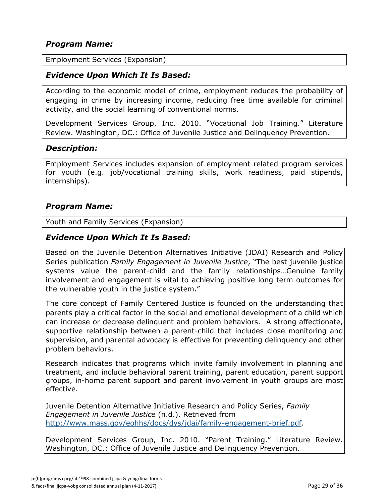#### *Program Name:*

Employment Services (Expansion)

#### *Evidence Upon Which It Is Based:*

According to the economic model of crime, employment reduces the probability of engaging in crime by increasing income, reducing free time available for criminal activity, and the social learning of conventional norms.

Development Services Group, Inc. 2010. "Vocational Job Training." Literature Review. Washington, DC.: Office of Juvenile Justice and Delinquency Prevention.

#### *Description:*

Employment Services includes expansion of employment related program services for youth (e.g. job/vocational training skills, work readiness, paid stipends, internships).

#### *Program Name:*

Youth and Family Services (Expansion)

#### *Evidence Upon Which It Is Based:*

Based on the Juvenile Detention Alternatives Initiative (JDAI) Research and Policy Series publication *Family Engagement in Juvenile Justice*, "The best juvenile justice systems value the parent-child and the family relationships…Genuine family involvement and engagement is vital to achieving positive long term outcomes for the vulnerable youth in the justice system."

The core concept of Family Centered Justice is founded on the understanding that parents play a critical factor in the social and emotional development of a child which can increase or decrease delinquent and problem behaviors. A strong affectionate, supportive relationship between a parent-child that includes close monitoring and supervision, and parental advocacy is effective for preventing delinquency and other problem behaviors.

Research indicates that programs which invite family involvement in planning and treatment, and include behavioral parent training, parent education, parent support groups, in-home parent support and parent involvement in youth groups are most effective.

Juvenile Detention Alternative Initiative Research and Policy Series, *Family Engagement in Juvenile Justice* (n.d.). Retrieved from [http://www.mass.gov/eohhs/docs/dys/jdai/family-engagement-brief.pdf.](http://www.mass.gov/eohhs/docs/dys/jdai/family-engagement-brief.pdf)

Development Services Group, Inc. 2010. "Parent Training." Literature Review. Washington, DC.: Office of Juvenile Justice and Delinquency Prevention.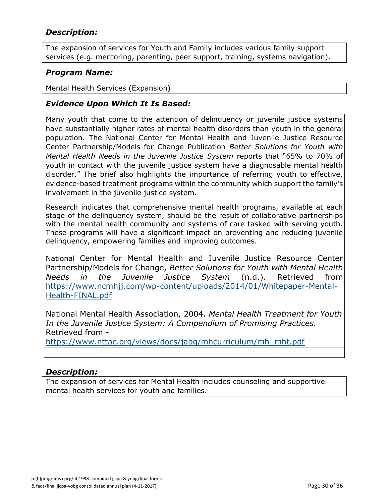### *Description:*

The expansion of services for Youth and Family includes various family support services (e.g. mentoring, parenting, peer support, training, systems navigation).

#### *Program Name:*

Mental Health Services (Expansion)

### *Evidence Upon Which It Is Based:*

Many youth that come to the attention of delinquency or juvenile justice systems have substantially higher rates of mental health disorders than youth in the general population. The National Center for Mental Health and Juvenile Justice Resource Center Partnership/Models for Change Publication *Better Solutions for Youth with Mental Health Needs in the Juvenile Justice System* reports that "65% to 70% of youth in contact with the juvenile justice system have a diagnosable mental health disorder." The brief also highlights the importance of referring youth to effective, evidence-based treatment programs within the community which support the family's involvement in the juvenile justice system.

Research indicates that comprehensive mental health programs, available at each stage of the delinquency system, should be the result of collaborative partnerships with the mental health community and systems of care tasked with serving youth. These programs will have a significant impact on preventing and reducing juvenile delinquency, empowering families and improving outcomes.

National Center for Mental Health and Juvenile Justice Resource Center Partnership/Models for Change, *Better Solutions for Youth with Mental Health Needs in the Juvenile Justice System* (n.d.). Retrieved from [https://www.ncmhjj.com/wp-content/uploads/2014/01/Whitepaper-Mental-](https://www.ncmhjj.com/wp-content/uploads/2014/01/Whitepaper-Mental-Health-FINAL.pdf)[Health-FINAL.pdf](https://www.ncmhjj.com/wp-content/uploads/2014/01/Whitepaper-Mental-Health-FINAL.pdf)

National Mental Health Association, 2004. *Mental Health Treatment for Youth In the Juvenile Justice System: A Compendium of Promising Practices.*  Retrieved from -

[https://www.nttac.org/views/docs/jabg/mhcurriculum/mh\\_mht.pdf](https://www.nttac.org/views/docs/jabg/mhcurriculum/mh_mht.pdf)

#### *Description:*

The expansion of services for Mental Health includes counseling and supportive mental health services for youth and families.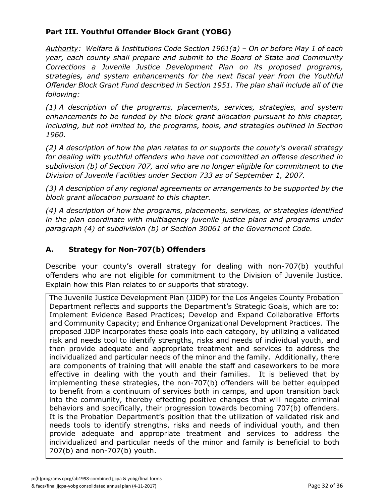### **Part III. Youthful Offender Block Grant (YOBG)**

*Authority: Welfare & Institutions Code Section 1961(a) – On or before May 1 of each year, each county shall prepare and submit to the Board of State and Community Corrections a Juvenile Justice Development Plan on its proposed programs, strategies, and system enhancements for the next fiscal year from the Youthful Offender Block Grant Fund described in Section 1951. The plan shall include all of the following:*

*(1) A description of the programs, placements, services, strategies, and system enhancements to be funded by the block grant allocation pursuant to this chapter, including, but not limited to, the programs, tools, and strategies outlined in Section 1960.*

*(2) A description of how the plan relates to or supports the county's overall strategy for dealing with youthful offenders who have not committed an offense described in subdivision (b) of Section 707, and who are no longer eligible for commitment to the Division of Juvenile Facilities under Section 733 as of September 1, 2007.*

*(3) A description of any regional agreements or arrangements to be supported by the block grant allocation pursuant to this chapter.*

*(4) A description of how the programs, placements, services, or strategies identified in the plan coordinate with multiagency juvenile justice plans and programs under paragraph (4) of subdivision (b) of Section 30061 of the Government Code.*

### **A. Strategy for Non-707(b) Offenders**

Describe your county's overall strategy for dealing with non-707(b) youthful offenders who are not eligible for commitment to the Division of Juvenile Justice. Explain how this Plan relates to or supports that strategy.

The Juvenile Justice Development Plan (JJDP) for the Los Angeles County Probation Department reflects and supports the Department's Strategic Goals, which are to: Implement Evidence Based Practices; Develop and Expand Collaborative Efforts and Community Capacity; and Enhance Organizational Development Practices. The proposed JJDP incorporates these goals into each category, by utilizing a validated risk and needs tool to identify strengths, risks and needs of individual youth, and then provide adequate and appropriate treatment and services to address the individualized and particular needs of the minor and the family. Additionally, there are components of training that will enable the staff and caseworkers to be more effective in dealing with the youth and their families. It is believed that by implementing these strategies, the non-707(b) offenders will be better equipped to benefit from a continuum of services both in camps, and upon transition back into the community, thereby effecting positive changes that will negate criminal behaviors and specifically, their progression towards becoming 707(b) offenders. It is the Probation Department's position that the utilization of validated risk and needs tools to identify strengths, risks and needs of individual youth, and then provide adequate and appropriate treatment and services to address the individualized and particular needs of the minor and family is beneficial to both 707(b) and non-707(b) youth.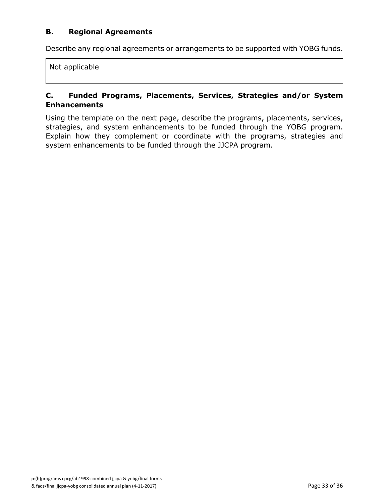#### **B. Regional Agreements**

Describe any regional agreements or arrangements to be supported with YOBG funds.

Not applicable

#### **C. Funded Programs, Placements, Services, Strategies and/or System Enhancements**

Using the template on the next page, describe the programs, placements, services, strategies, and system enhancements to be funded through the YOBG program. Explain how they complement or coordinate with the programs, strategies and system enhancements to be funded through the JJCPA program.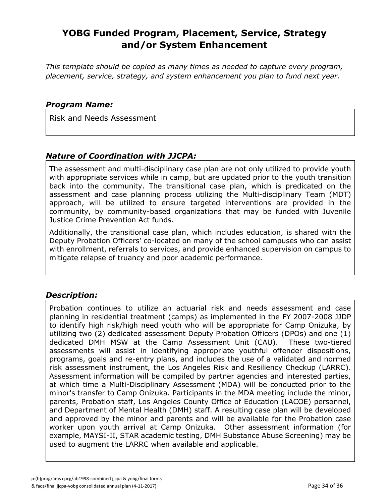## **YOBG Funded Program, Placement, Service, Strategy and/or System Enhancement**

*This template should be copied as many times as needed to capture every program, placement, service, strategy, and system enhancement you plan to fund next year.*

#### *Program Name:*

Risk and Needs Assessment

#### *Nature of Coordination with JJCPA:*

The assessment and multi-disciplinary case plan are not only utilized to provide youth with appropriate services while in camp, but are updated prior to the youth transition back into the community. The transitional case plan, which is predicated on the assessment and case planning process utilizing the Multi-disciplinary Team (MDT) approach, will be utilized to ensure targeted interventions are provided in the community, by community-based organizations that may be funded with Juvenile Justice Crime Prevention Act funds.

Additionally, the transitional case plan, which includes education, is shared with the Deputy Probation Officers' co-located on many of the school campuses who can assist with enrollment, referrals to services, and provide enhanced supervision on campus to mitigate relapse of truancy and poor academic performance.

### *Description:*

Probation continues to utilize an actuarial risk and needs assessment and case planning in residential treatment (camps) as implemented in the FY 2007-2008 JJDP to identify high risk/high need youth who will be appropriate for Camp Onizuka, by utilizing two (2) dedicated assessment Deputy Probation Officers (DPOs) and one (1) dedicated DMH MSW at the Camp Assessment Unit (CAU). These two-tiered assessments will assist in identifying appropriate youthful offender dispositions, programs, goals and re-entry plans, and includes the use of a validated and normed risk assessment instrument, the Los Angeles Risk and Resiliency Checkup (LARRC). Assessment information will be compiled by partner agencies and interested parties, at which time a Multi-Disciplinary Assessment (MDA) will be conducted prior to the minor's transfer to Camp Onizuka. Participants in the MDA meeting include the minor, parents, Probation staff, Los Angeles County Office of Education (LACOE) personnel, and Department of Mental Health (DMH) staff. A resulting case plan will be developed and approved by the minor and parents and will be available for the Probation case worker upon youth arrival at Camp Onizuka. Other assessment information (for example, MAYSI-II, STAR academic testing, DMH Substance Abuse Screening) may be used to augment the LARRC when available and applicable.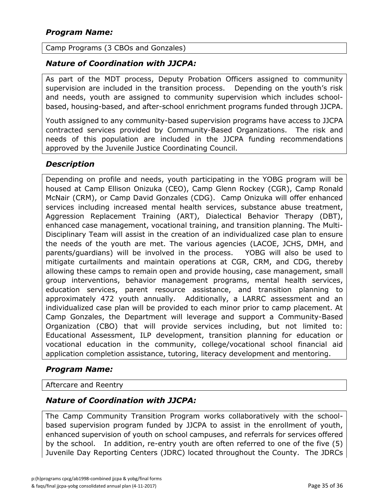#### Camp Programs (3 CBOs and Gonzales)

#### *Nature of Coordination with JJCPA:*

As part of the MDT process, Deputy Probation Officers assigned to community supervision are included in the transition process. Depending on the youth's risk and needs, youth are assigned to community supervision which includes schoolbased, housing-based, and after-school enrichment programs funded through JJCPA.

Youth assigned to any community-based supervision programs have access to JJCPA contracted services provided by Community-Based Organizations. The risk and needs of this population are included in the JJCPA funding recommendations approved by the Juvenile Justice Coordinating Council.

### *Description*

Depending on profile and needs, youth participating in the YOBG program will be housed at Camp Ellison Onizuka (CEO), Camp Glenn Rockey (CGR), Camp Ronald McNair (CRM), or Camp David Gonzales (CDG). Camp Onizuka will offer enhanced services including increased mental health services, substance abuse treatment, Aggression Replacement Training (ART), Dialectical Behavior Therapy (DBT), enhanced case management, vocational training, and transition planning. The Multi-Disciplinary Team will assist in the creation of an individualized case plan to ensure the needs of the youth are met. The various agencies (LACOE, JCHS, DMH, and parents/guardians) will be involved in the process. YOBG will also be used to mitigate curtailments and maintain operations at CGR, CRM, and CDG, thereby allowing these camps to remain open and provide housing, case management, small group interventions, behavior management programs, mental health services, education services, parent resource assistance, and transition planning to approximately 472 youth annually. Additionally, a LARRC assessment and an individualized case plan will be provided to each minor prior to camp placement. At Camp Gonzales, the Department will leverage and support a Community-Based Organization (CBO) that will provide services including, but not limited to: Educational Assessment, ILP development, transition planning for education or vocational education in the community, college/vocational school financial aid application completion assistance, tutoring, literacy development and mentoring.

### *Program Name:*

Aftercare and Reentry

#### *Nature of Coordination with JJCPA:*

The Camp Community Transition Program works collaboratively with the schoolbased supervision program funded by JJCPA to assist in the enrollment of youth, enhanced supervision of youth on school campuses, and referrals for services offered by the school. In addition, re-entry youth are often referred to one of the five (5) Juvenile Day Reporting Centers (JDRC) located throughout the County. The JDRCs